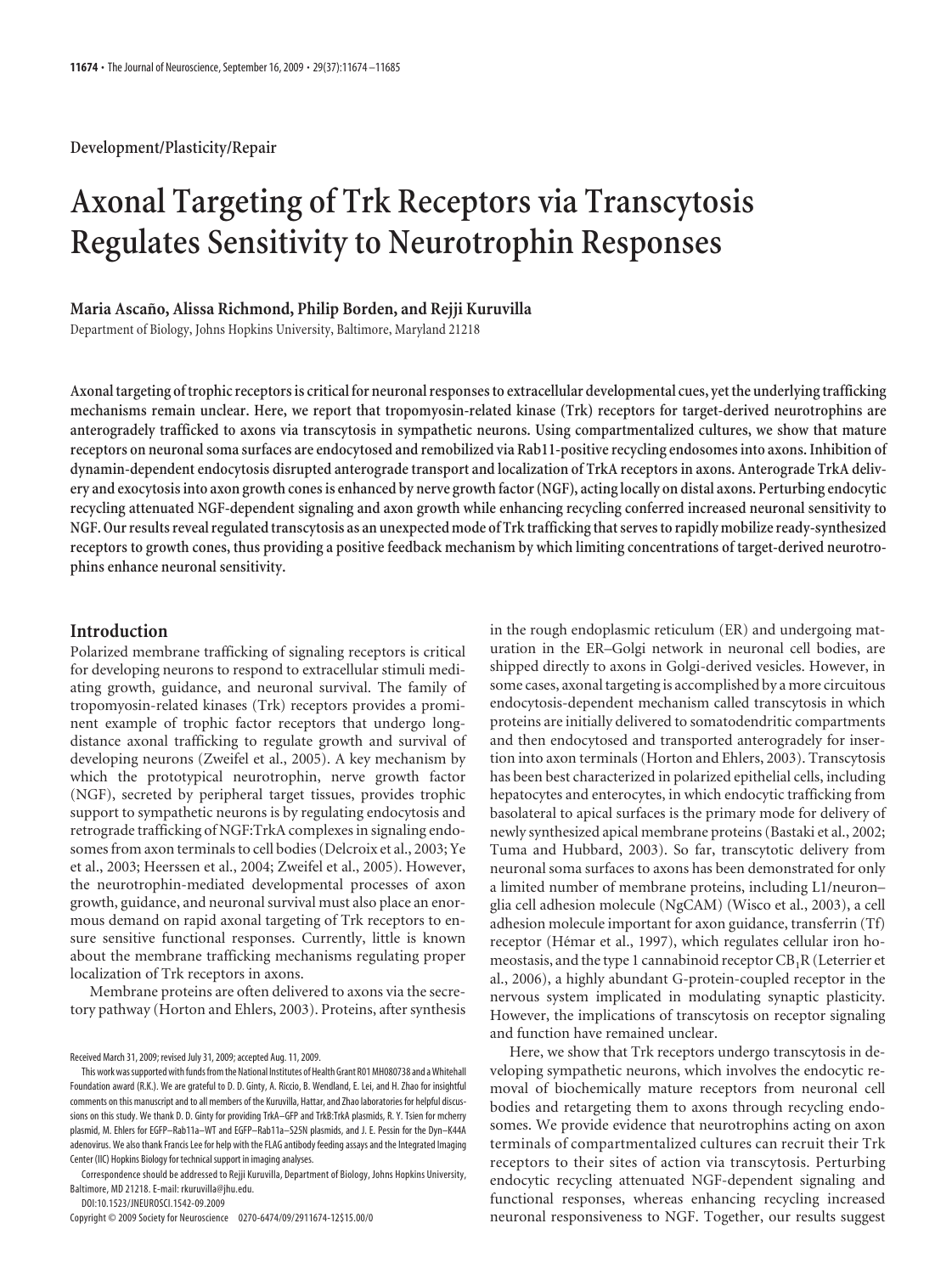**Development/Plasticity/Repair**

# **Axonal Targeting of Trk Receptors via Transcytosis Regulates Sensitivity to Neurotrophin Responses**

# **Maria Ascan˜o, Alissa Richmond, Philip Borden, and Rejji Kuruvilla**

Department of Biology, Johns Hopkins University, Baltimore, Maryland 21218

**Axonaltargeting oftrophic receptors is critical for neuronal responsesto extracellular developmental cues, yetthe underlyingtrafficking mechanisms remain unclear. Here, we report that tropomyosin-related kinase (Trk) receptors for target-derived neurotrophins are anterogradely trafficked to axons via transcytosis in sympathetic neurons. Using compartmentalized cultures, we show that mature receptors on neuronal soma surfaces are endocytosed and remobilized via Rab11-positive recycling endosomes into axons. Inhibition of dynamin-dependent endocytosis disrupted anterograde transport and localization of TrkA receptors in axons. Anterograde TrkA delivery and exocytosis into axon growth cones is enhanced by nerve growth factor (NGF), acting locally on distal axons. Perturbing endocytic recycling attenuated NGF-dependent signaling and axon growth while enhancing recycling conferred increased neuronal sensitivity to NGF. Our results reveal regulatedtranscytosis as an unexpected mode of Trktraffickingthat servesto rapidly mobilize ready-synthesized receptors to growth cones, thus providing a positive feedback mechanism by which limiting concentrations of target-derived neurotrophins enhance neuronal sensitivity.**

## **Introduction**

Polarized membrane trafficking of signaling receptors is critical for developing neurons to respond to extracellular stimuli mediating growth, guidance, and neuronal survival. The family of tropomyosin-related kinases (Trk) receptors provides a prominent example of trophic factor receptors that undergo longdistance axonal trafficking to regulate growth and survival of developing neurons (Zweifel et al., 2005). A key mechanism by which the prototypical neurotrophin, nerve growth factor (NGF), secreted by peripheral target tissues, provides trophic support to sympathetic neurons is by regulating endocytosis and retrograde trafficking of NGF:TrkA complexes in signaling endosomes from axon terminals to cell bodies (Delcroix et al., 2003; Ye et al., 2003; Heerssen et al., 2004; Zweifel et al., 2005). However, the neurotrophin-mediated developmental processes of axon growth, guidance, and neuronal survival must also place an enormous demand on rapid axonal targeting of Trk receptors to ensure sensitive functional responses. Currently, little is known about the membrane trafficking mechanisms regulating proper localization of Trk receptors in axons.

Membrane proteins are often delivered to axons via the secretory pathway (Horton and Ehlers, 2003). Proteins, after synthesis

Received March 31, 2009; revised July 31, 2009; accepted Aug. 11, 2009.

Correspondence should be addressed to Rejji Kuruvilla, Department of Biology, Johns Hopkins University, Baltimore, MD 21218. E-mail: rkuruvilla@jhu.edu.

DOI:10.1523/JNEUROSCI.1542-09.2009

Copyright © 2009 Society for Neuroscience 0270-6474/09/2911674-12\$15.00/0

in the rough endoplasmic reticulum (ER) and undergoing maturation in the ER–Golgi network in neuronal cell bodies, are shipped directly to axons in Golgi-derived vesicles. However, in some cases, axonal targeting is accomplished by a more circuitous endocytosis-dependent mechanism called transcytosis in which proteins are initially delivered to somatodendritic compartments and then endocytosed and transported anterogradely for insertion into axon terminals (Horton and Ehlers, 2003). Transcytosis has been best characterized in polarized epithelial cells, including hepatocytes and enterocytes, in which endocytic trafficking from basolateral to apical surfaces is the primary mode for delivery of newly synthesized apical membrane proteins (Bastaki et al., 2002; Tuma and Hubbard, 2003). So far, transcytotic delivery from neuronal soma surfaces to axons has been demonstrated for only a limited number of membrane proteins, including L1/neuron– glia cell adhesion molecule (NgCAM) (Wisco et al., 2003), a cell adhesion molecule important for axon guidance, transferrin (Tf) receptor (Hémar et al., 1997), which regulates cellular iron homeostasis, and the type 1 cannabinoid receptor  $CB_1R$  (Leterrier et al., 2006), a highly abundant G-protein-coupled receptor in the nervous system implicated in modulating synaptic plasticity. However, the implications of transcytosis on receptor signaling and function have remained unclear.

Here, we show that Trk receptors undergo transcytosis in developing sympathetic neurons, which involves the endocytic removal of biochemically mature receptors from neuronal cell bodies and retargeting them to axons through recycling endosomes. We provide evidence that neurotrophins acting on axon terminals of compartmentalized cultures can recruit their Trk receptors to their sites of action via transcytosis. Perturbing endocytic recycling attenuated NGF-dependent signaling and functional responses, whereas enhancing recycling increased neuronal responsiveness to NGF. Together, our results suggest

This work was supported with funds from the National Institutes of Health Grant R01 MH080738 and a Whitehall Foundation award (R.K.). We are grateful to D. D. Ginty, A. Riccio, B. Wendland, E. Lei, and H. Zhao for insightful comments on this manuscript and to all members of the Kuruvilla, Hattar, and Zhao laboratories for helpful discussions on this study. We thank D. D. Ginty for providing TrkA–GFP and TrkB:TrkA plasmids, R. Y. Tsien for mcherry plasmid, M. Ehlers for EGFP–Rab11a–WT and EGFP–Rab11a–S25N plasmids, and J. E. Pessin for the Dyn–K44A adenovirus. We also thank Francis Lee for help with the FLAG antibody feeding assays and the Integrated Imaging Center (IIC) Hopkins Biology for technical support in imaging analyses.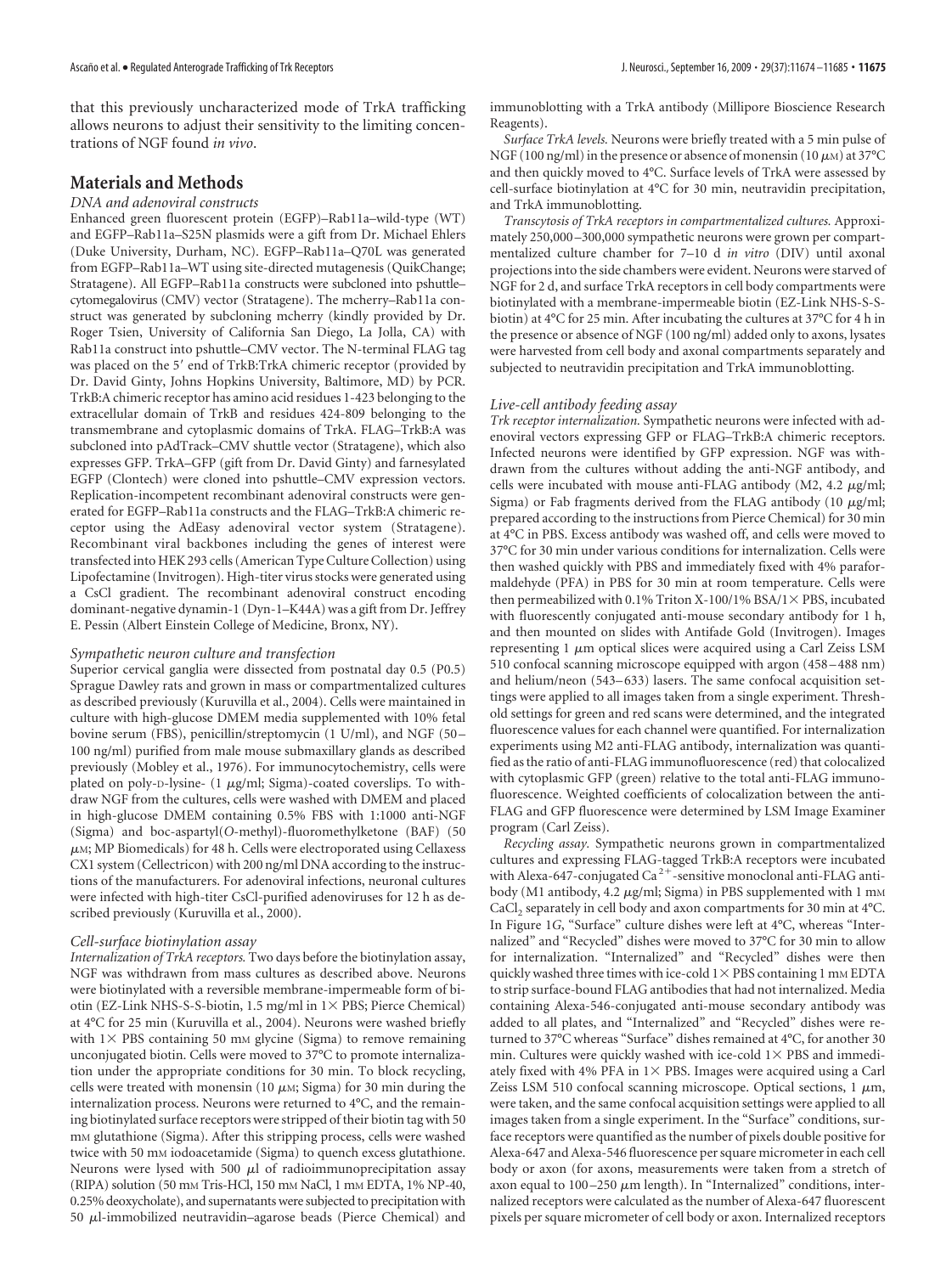that this previously uncharacterized mode of TrkA trafficking allows neurons to adjust their sensitivity to the limiting concentrations of NGF found *in vivo*.

# **Materials and Methods**

#### *DNA and adenoviral constructs*

Enhanced green fluorescent protein (EGFP)–Rab11a–wild-type (WT) and EGFP–Rab11a–S25N plasmids were a gift from Dr. Michael Ehlers (Duke University, Durham, NC). EGFP–Rab11a–Q70L was generated from EGFP–Rab11a–WT using site-directed mutagenesis (QuikChange; Stratagene). All EGFP–Rab11a constructs were subcloned into pshuttle– cytomegalovirus (CMV) vector (Stratagene). The mcherry–Rab11a construct was generated by subcloning mcherry (kindly provided by Dr. Roger Tsien, University of California San Diego, La Jolla, CA) with Rab11a construct into pshuttle–CMV vector. The N-terminal FLAG tag was placed on the 5' end of TrkB:TrkA chimeric receptor (provided by Dr. David Ginty, Johns Hopkins University, Baltimore, MD) by PCR. TrkB:A chimeric receptor has amino acid residues 1-423 belonging to the extracellular domain of TrkB and residues 424-809 belonging to the transmembrane and cytoplasmic domains of TrkA. FLAG–TrkB:A was subcloned into pAdTrack–CMV shuttle vector (Stratagene), which also expresses GFP. TrkA–GFP (gift from Dr. David Ginty) and farnesylated EGFP (Clontech) were cloned into pshuttle–CMV expression vectors. Replication-incompetent recombinant adenoviral constructs were generated for EGFP–Rab11a constructs and the FLAG–TrkB:A chimeric receptor using the AdEasy adenoviral vector system (Stratagene). Recombinant viral backbones including the genes of interest were transfected into HEK 293 cells (American Type Culture Collection) using Lipofectamine (Invitrogen). High-titer virus stocks were generated using a CsCl gradient. The recombinant adenoviral construct encoding dominant-negative dynamin-1 (Dyn-1–K44A) was a gift from Dr. Jeffrey E. Pessin (Albert Einstein College of Medicine, Bronx, NY).

## *Sympathetic neuron culture and transfection*

Superior cervical ganglia were dissected from postnatal day 0.5 (P0.5) Sprague Dawley rats and grown in mass or compartmentalized cultures as described previously (Kuruvilla et al., 2004). Cells were maintained in culture with high-glucose DMEM media supplemented with 10% fetal bovine serum (FBS), penicillin/streptomycin (1 U/ml), and NGF (50-100 ng/ml) purified from male mouse submaxillary glands as described previously (Mobley et al., 1976). For immunocytochemistry, cells were plated on poly-D-lysine-  $(1 \mu g/ml; Sigma)$ -coated coverslips. To withdraw NGF from the cultures, cells were washed with DMEM and placed in high-glucose DMEM containing 0.5% FBS with 1:1000 anti-NGF (Sigma) and boc-aspartyl(*O*-methyl)-fluoromethylketone (BAF) (50  $\mu$ M; MP Biomedicals) for 48 h. Cells were electroporated using Cellaxess CX1 system (Cellectricon) with 200 ng/ml DNA according to the instructions of the manufacturers. For adenoviral infections, neuronal cultures were infected with high-titer CsCl-purified adenoviruses for 12 h as described previously (Kuruvilla et al., 2000).

## *Cell-surface biotinylation assay*

*Internalization of TrkA receptors.* Two days before the biotinylation assay, NGF was withdrawn from mass cultures as described above. Neurons were biotinylated with a reversible membrane-impermeable form of biotin (EZ-Link NHS-S-S-biotin, 1.5 mg/ml in 1× PBS; Pierce Chemical) at 4°C for 25 min (Kuruvilla et al., 2004). Neurons were washed briefly with  $1\times$  PBS containing 50 mm glycine (Sigma) to remove remaining unconjugated biotin. Cells were moved to 37°C to promote internalization under the appropriate conditions for 30 min. To block recycling, cells were treated with monensin (10  $\mu$ M; Sigma) for 30 min during the internalization process. Neurons were returned to 4°C, and the remaining biotinylated surface receptors were stripped of their biotin tag with 50 mM glutathione (Sigma). After this stripping process, cells were washed twice with 50 mM iodoacetamide (Sigma) to quench excess glutathione. Neurons were lysed with 500  $\mu$ l of radioimmunoprecipitation assay (RIPA) solution (50 mM Tris-HCl, 150 mM NaCl, 1 mM EDTA, 1% NP-40, 0.25% deoxycholate), and supernatants were subjected to precipitation with 50  $\mu$ l-immobilized neutravidin–agarose beads (Pierce Chemical) and

immunoblotting with a TrkA antibody (Millipore Bioscience Research Reagents).

*Surface TrkA levels.* Neurons were briefly treated with a 5 min pulse of NGF (100 ng/ml) in the presence or absence of monensin (10  $\mu$ M) at 37°C and then quickly moved to 4°C. Surface levels of TrkA were assessed by cell-surface biotinylation at 4°C for 30 min, neutravidin precipitation, and TrkA immunoblotting.

*Transcytosis of TrkA receptors in compartmentalized cultures.* Approximately 250,000 –300,000 sympathetic neurons were grown per compartmentalized culture chamber for 7–10 d *in vitro* (DIV) until axonal projections into the side chambers were evident. Neurons were starved of NGF for 2 d, and surface TrkA receptors in cell body compartments were biotinylated with a membrane-impermeable biotin (EZ-Link NHS-S-Sbiotin) at 4°C for 25 min. After incubating the cultures at 37°C for 4 h in the presence or absence of NGF (100 ng/ml) added only to axons, lysates were harvested from cell body and axonal compartments separately and subjected to neutravidin precipitation and TrkA immunoblotting.

#### *Live-cell antibody feeding assay*

*Trk receptor internalization.* Sympathetic neurons were infected with adenoviral vectors expressing GFP or FLAG–TrkB:A chimeric receptors. Infected neurons were identified by GFP expression. NGF was withdrawn from the cultures without adding the anti-NGF antibody, and cells were incubated with mouse anti-FLAG antibody (M2, 4.2  $\mu$ g/ml; Sigma) or Fab fragments derived from the FLAG antibody (10  $\mu$ g/ml; prepared according to the instructions from Pierce Chemical) for 30 min at 4°C in PBS. Excess antibody was washed off, and cells were moved to 37°C for 30 min under various conditions for internalization. Cells were then washed quickly with PBS and immediately fixed with 4% paraformaldehyde (PFA) in PBS for 30 min at room temperature. Cells were then permeabilized with  $0.1\%$  Triton X-100/1% BSA/1 $\times$  PBS, incubated with fluorescently conjugated anti-mouse secondary antibody for 1 h, and then mounted on slides with Antifade Gold (Invitrogen). Images representing 1  $\mu$ m optical slices were acquired using a Carl Zeiss LSM 510 confocal scanning microscope equipped with argon (458 – 488 nm) and helium/neon (543–633) lasers. The same confocal acquisition settings were applied to all images taken from a single experiment. Threshold settings for green and red scans were determined, and the integrated fluorescence values for each channel were quantified. For internalization experiments using M2 anti-FLAG antibody, internalization was quantified as the ratio of anti-FLAG immunofluorescence (red) that colocalized with cytoplasmic GFP (green) relative to the total anti-FLAG immunofluorescence. Weighted coefficients of colocalization between the anti-FLAG and GFP fluorescence were determined by LSM Image Examiner program (Carl Zeiss).

*Recycling assay.* Sympathetic neurons grown in compartmentalized cultures and expressing FLAG-tagged TrkB:A receptors were incubated with Alexa-647-conjugated Ca<sup>2+</sup>-sensitive monoclonal anti-FLAG antibody (M1 antibody, 4.2  $\mu$ g/ml; Sigma) in PBS supplemented with 1 mM CaCl<sub>2</sub> separately in cell body and axon compartments for 30 min at 4°C. In Figure 1*G*, "Surface" culture dishes were left at 4°C, whereas "Internalized" and "Recycled" dishes were moved to 37°C for 30 min to allow for internalization. "Internalized" and "Recycled" dishes were then quickly washed three times with ice-cold  $1\times$  PBS containing 1 mm EDTA to strip surface-bound FLAG antibodies that had not internalized. Media containing Alexa-546-conjugated anti-mouse secondary antibody was added to all plates, and "Internalized" and "Recycled" dishes were returned to 37°C whereas "Surface" dishes remained at 4°C, for another 30 min. Cultures were quickly washed with ice-cold  $1\times$  PBS and immediately fixed with 4% PFA in  $1\times$  PBS. Images were acquired using a Carl Zeiss LSM 510 confocal scanning microscope. Optical sections,  $1 \mu m$ , were taken, and the same confocal acquisition settings were applied to all images taken from a single experiment. In the "Surface" conditions, surface receptors were quantified as the number of pixels double positive for Alexa-647 and Alexa-546 fluorescence per square micrometer in each cell body or axon (for axons, measurements were taken from a stretch of axon equal to  $100 - 250 \mu m$  length). In "Internalized" conditions, internalized receptors were calculated as the number of Alexa-647 fluorescent pixels per square micrometer of cell body or axon. Internalized receptors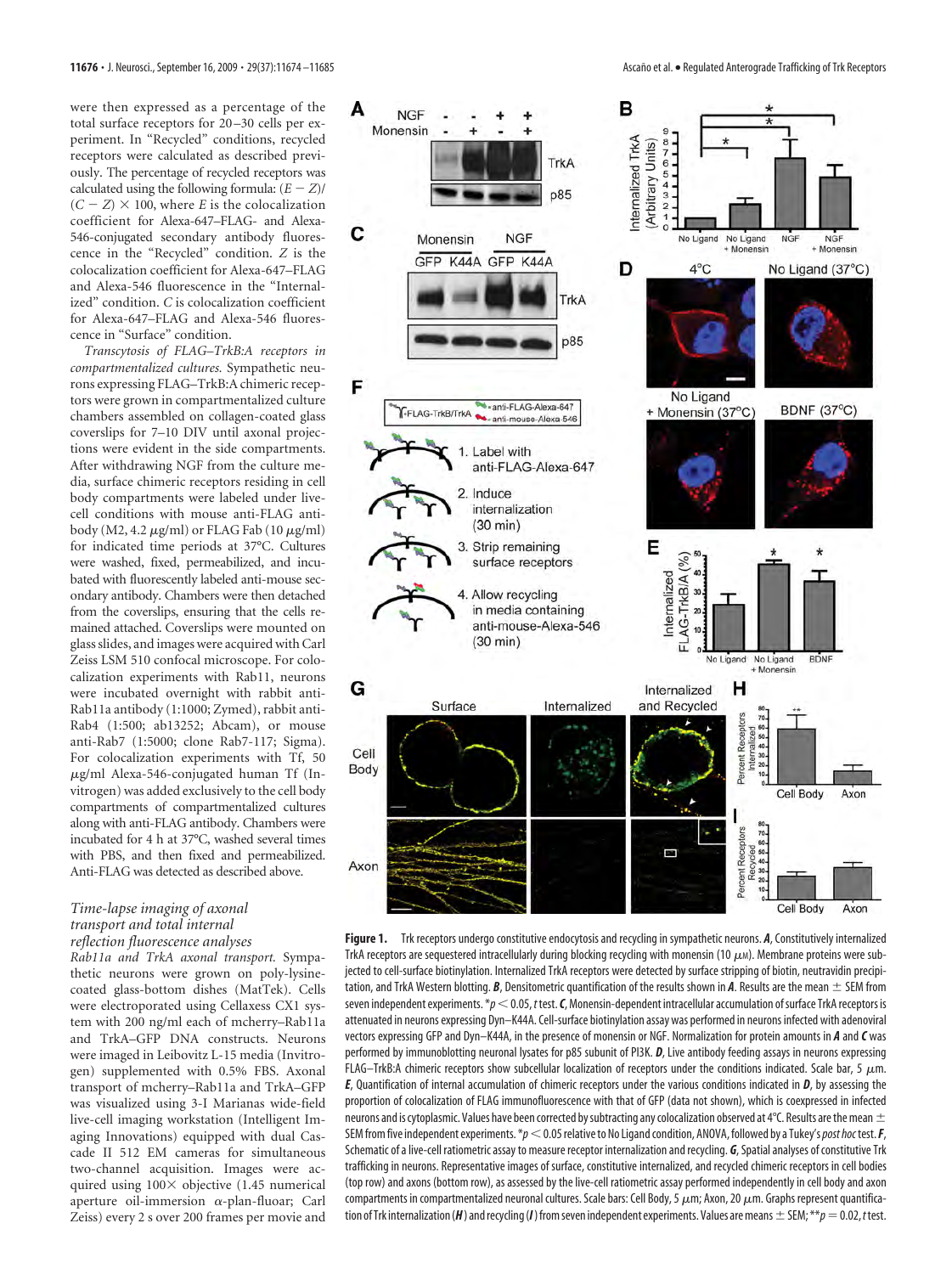were then expressed as a percentage of the total surface receptors for 20 –30 cells per experiment. In "Recycled" conditions, recycled receptors were calculated as described previously. The percentage of recycled receptors was calculated using the following formula:  $(E - Z)$ /  $(C - Z) \times 100$ , where *E* is the colocalization coefficient for Alexa-647–FLAG- and Alexa-546-conjugated secondary antibody fluorescence in the "Recycled" condition. *Z* is the colocalization coefficient for Alexa-647–FLAG and Alexa-546 fluorescence in the "Internalized" condition. *C* is colocalization coefficient for Alexa-647–FLAG and Alexa-546 fluorescence in "Surface" condition.

*Transcytosis of FLAG–TrkB:A receptors in compartmentalized cultures.* Sympathetic neurons expressing FLAG–TrkB:A chimeric receptors were grown in compartmentalized culture chambers assembled on collagen-coated glass coverslips for 7–10 DIV until axonal projections were evident in the side compartments. After withdrawing NGF from the culture media, surface chimeric receptors residing in cell body compartments were labeled under livecell conditions with mouse anti-FLAG antibody (M2, 4.2  $\mu$ g/ml) or FLAG Fab (10  $\mu$ g/ml) for indicated time periods at 37°C. Cultures were washed, fixed, permeabilized, and incubated with fluorescently labeled anti-mouse secondary antibody. Chambers were then detached from the coverslips, ensuring that the cells remained attached. Coverslips were mounted on glass slides, and images were acquired with Carl Zeiss LSM 510 confocal microscope. For colocalization experiments with Rab11, neurons were incubated overnight with rabbit anti-Rab11a antibody (1:1000; Zymed), rabbit anti-Rab4 (1:500; ab13252; Abcam), or mouse anti-Rab7 (1:5000; clone Rab7-117; Sigma). For colocalization experiments with Tf, 50  $\mu$ g/ml Alexa-546-conjugated human Tf (Invitrogen) was added exclusively to the cell body compartments of compartmentalized cultures along with anti-FLAG antibody. Chambers were incubated for 4 h at 37°C, washed several times with PBS, and then fixed and permeabilized. Anti-FLAG was detected as described above.

#### *Time-lapse imaging of axonal transport and total internal reflection fluorescence analyses*

*Rab11a and TrkA axonal transport.* Sympathetic neurons were grown on poly-lysinecoated glass-bottom dishes (MatTek). Cells were electroporated using Cellaxess CX1 system with 200 ng/ml each of mcherry–Rab11a and TrkA–GFP DNA constructs. Neurons were imaged in Leibovitz L-15 media (Invitrogen) supplemented with 0.5% FBS. Axonal transport of mcherry–Rab11a and TrkA–GFP was visualized using 3-I Marianas wide-field live-cell imaging workstation (Intelligent Imaging Innovations) equipped with dual Cascade II 512 EM cameras for simultaneous two-channel acquisition. Images were acquired using 100× objective (1.45 numerical aperture oil-immersion  $\alpha$ -plan-fluoar; Carl Zeiss) every 2 s over 200 frames per movie and



Cell Body

Axon

**Figure 1.** Trk receptors undergo constitutive endocytosis and recycling in sympathetic neurons. *A*, Constitutively internalized TrkA receptors are sequestered intracellularly during blocking recycling with monensin (10  $\mu$ m). Membrane proteins were subjected to cell-surface biotinylation. Internalized TrkA receptors were detected by surface stripping of biotin, neutravidin precipitation, and TrkA Western blotting. *B*, Densitometric quantification of the results shown in *A*. Results are the mean  $\pm$  SEM from seven independent experiments. \* $p$  < 0.05, *t* test. *C*, Monensin-dependent intracellular accumulation of surface TrkA receptors is attenuated in neurons expressing Dyn–K44A. Cell-surface biotinylation assay was performed in neurons infected with adenoviral vectors expressing GFP and Dyn–K44A, in the presence of monensin or NGF. Normalization for protein amounts in *A* and*C* was performed by immunoblotting neuronal lysates for p85 subunit of PI3K. *D*, Live antibody feeding assays in neurons expressing FLAG–TrkB:A chimeric receptors show subcellular localization of receptors under the conditions indicated. Scale bar, 5  $\mu$ m. *E*, Quantification of internal accumulation of chimeric receptors under the various conditions indicated in *D*, by assessing the proportion of colocalization of FLAG immunofluorescence with that of GFP (data not shown), which is coexpressed in infected neurons and is cytoplasmic. Values have been corrected by subtracting any colocalization observed at 4°C. Results are the mean  $\pm$ SEM from five independent experiments. \**p* < 0.05 relative to No Ligand condition, ANOVA, followed by a Tukey's *post hoc* test. **F**, Schematic of a live-cell ratiometric assay to measure receptor internalization and recycling. *G*, Spatial analyses of constitutive Trk trafficking in neurons. Representative images of surface, constitutive internalized, and recycled chimeric receptors in cell bodies (top row) and axons (bottom row), as assessed by the live-cell ratiometric assay performed independently in cell body and axon compartments in compartmentalized neuronal cultures. Scale bars: Cell Body, 5  $\mu$ m; Axon, 20  $\mu$ m. Graphs represent quantification of Trk internalization (H) and recycling (I) from seven independent experiments. Values are means  $\pm$  SEM; \*\* $p=0.02$ , t test.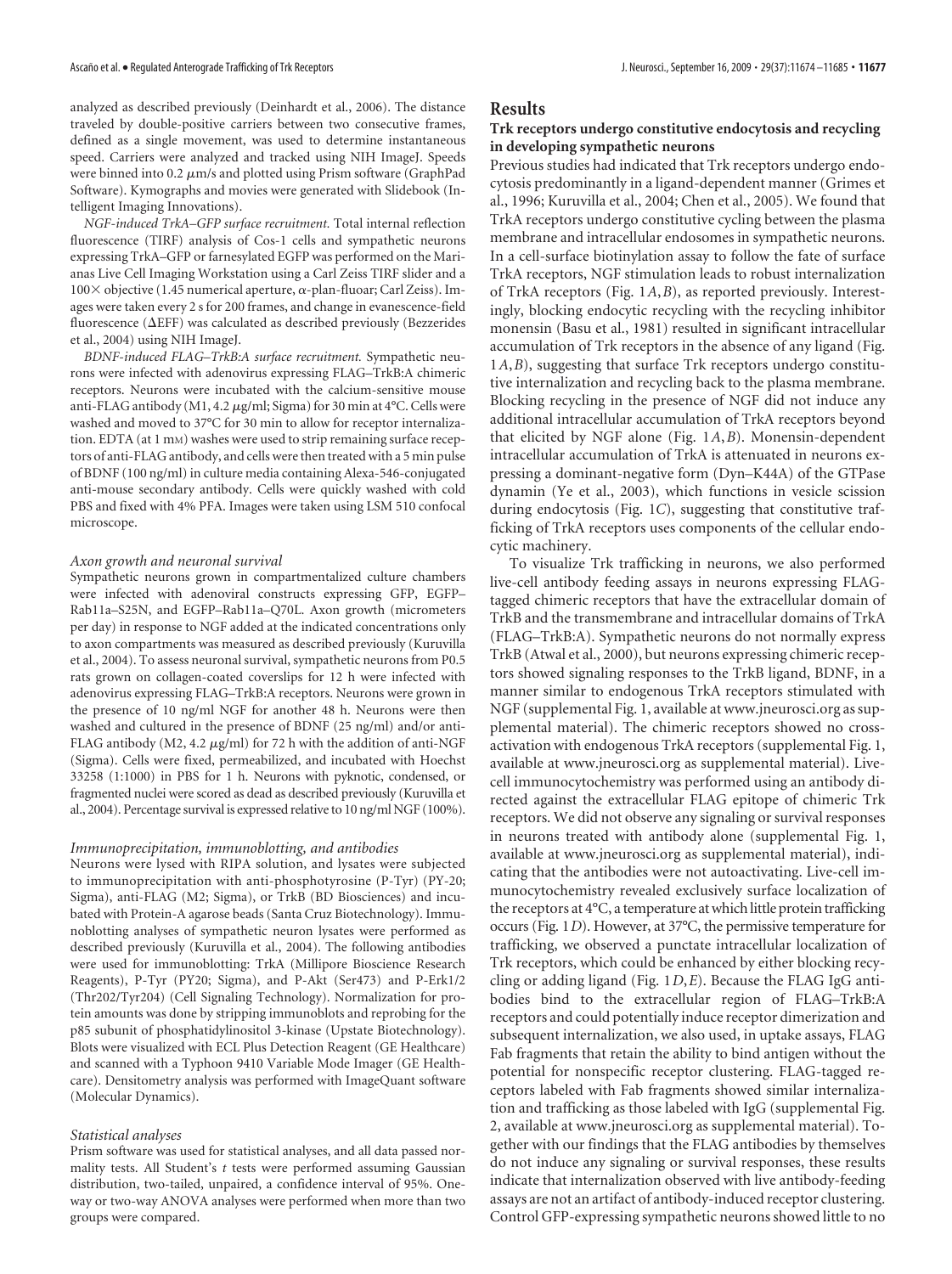analyzed as described previously (Deinhardt et al., 2006). The distance traveled by double-positive carriers between two consecutive frames, defined as a single movement, was used to determine instantaneous speed. Carriers were analyzed and tracked using NIH ImageJ. Speeds were binned into  $0.2 \mu m/s$  and plotted using Prism software (GraphPad Software). Kymographs and movies were generated with Slidebook (Intelligent Imaging Innovations).

*NGF-induced TrkA–GFP surface recruitment.* Total internal reflection fluorescence (TIRF) analysis of Cos-1 cells and sympathetic neurons expressing TrkA–GFP or farnesylated EGFP was performed on the Marianas Live Cell Imaging Workstation using a Carl Zeiss TIRF slider and a  $100\times$  objective (1.45 numerical aperture,  $\alpha$ -plan-fluoar; Carl Zeiss). Images were taken every 2 s for 200 frames, and change in evanescence-field fluorescence ( $\Delta$ EFF) was calculated as described previously (Bezzerides et al., 2004) using NIH ImageJ.

*BDNF-induced FLAG–TrkB:A surface recruitment.* Sympathetic neurons were infected with adenovirus expressing FLAG–TrkB:A chimeric receptors. Neurons were incubated with the calcium-sensitive mouse anti-FLAG antibody (M1, 4.2  $\mu$ g/ml; Sigma) for 30 min at 4°C. Cells were washed and moved to 37°C for 30 min to allow for receptor internalization. EDTA (at 1 mm) washes were used to strip remaining surface receptors of anti-FLAG antibody, and cells were then treated with a 5 min pulse of BDNF (100 ng/ml) in culture media containing Alexa-546-conjugated anti-mouse secondary antibody. Cells were quickly washed with cold PBS and fixed with 4% PFA. Images were taken using LSM 510 confocal microscope.

#### *Axon growth and neuronal survival*

Sympathetic neurons grown in compartmentalized culture chambers were infected with adenoviral constructs expressing GFP, EGFP– Rab11a–S25N, and EGFP–Rab11a–Q70L. Axon growth (micrometers per day) in response to NGF added at the indicated concentrations only to axon compartments was measured as described previously (Kuruvilla et al., 2004). To assess neuronal survival, sympathetic neurons from P0.5 rats grown on collagen-coated coverslips for 12 h were infected with adenovirus expressing FLAG–TrkB:A receptors. Neurons were grown in the presence of 10 ng/ml NGF for another 48 h. Neurons were then washed and cultured in the presence of BDNF (25 ng/ml) and/or anti-FLAG antibody (M2, 4.2  $\mu$ g/ml) for 72 h with the addition of anti-NGF (Sigma). Cells were fixed, permeabilized, and incubated with Hoechst 33258 (1:1000) in PBS for 1 h. Neurons with pyknotic, condensed, or fragmented nuclei were scored as dead as described previously (Kuruvilla et al., 2004). Percentage survival is expressed relative to 10 ng/ml NGF (100%).

#### *Immunoprecipitation, immunoblotting, and antibodies*

Neurons were lysed with RIPA solution, and lysates were subjected to immunoprecipitation with anti-phosphotyrosine (P-Tyr) (PY-20; Sigma), anti-FLAG (M2; Sigma), or TrkB (BD Biosciences) and incubated with Protein-A agarose beads (Santa Cruz Biotechnology). Immunoblotting analyses of sympathetic neuron lysates were performed as described previously (Kuruvilla et al., 2004). The following antibodies were used for immunoblotting: TrkA (Millipore Bioscience Research Reagents), P-Tyr (PY20; Sigma), and P-Akt (Ser473) and P-Erk1/2 (Thr202/Tyr204) (Cell Signaling Technology). Normalization for protein amounts was done by stripping immunoblots and reprobing for the p85 subunit of phosphatidylinositol 3-kinase (Upstate Biotechnology). Blots were visualized with ECL Plus Detection Reagent (GE Healthcare) and scanned with a Typhoon 9410 Variable Mode Imager (GE Healthcare). Densitometry analysis was performed with ImageQuant software (Molecular Dynamics).

#### *Statistical analyses*

Prism software was used for statistical analyses, and all data passed normality tests. All Student's *t* tests were performed assuming Gaussian distribution, two-tailed, unpaired, a confidence interval of 95%. Oneway or two-way ANOVA analyses were performed when more than two groups were compared.

## **Results**

# **Trk receptors undergo constitutive endocytosis and recycling in developing sympathetic neurons**

Previous studies had indicated that Trk receptors undergo endocytosis predominantly in a ligand-dependent manner (Grimes et al., 1996; Kuruvilla et al., 2004; Chen et al., 2005). We found that TrkA receptors undergo constitutive cycling between the plasma membrane and intracellular endosomes in sympathetic neurons. In a cell-surface biotinylation assay to follow the fate of surface TrkA receptors, NGF stimulation leads to robust internalization of TrkA receptors (Fig. 1*A*,*B*), as reported previously. Interestingly, blocking endocytic recycling with the recycling inhibitor monensin (Basu et al., 1981) resulted in significant intracellular accumulation of Trk receptors in the absence of any ligand (Fig. 1*A*,*B*), suggesting that surface Trk receptors undergo constitutive internalization and recycling back to the plasma membrane. Blocking recycling in the presence of NGF did not induce any additional intracellular accumulation of TrkA receptors beyond that elicited by NGF alone (Fig. 1*A*,*B*). Monensin-dependent intracellular accumulation of TrkA is attenuated in neurons expressing a dominant-negative form (Dyn–K44A) of the GTPase dynamin (Ye et al., 2003), which functions in vesicle scission during endocytosis (Fig. 1*C*), suggesting that constitutive trafficking of TrkA receptors uses components of the cellular endocytic machinery.

To visualize Trk trafficking in neurons, we also performed live-cell antibody feeding assays in neurons expressing FLAGtagged chimeric receptors that have the extracellular domain of TrkB and the transmembrane and intracellular domains of TrkA (FLAG–TrkB:A). Sympathetic neurons do not normally express TrkB (Atwal et al., 2000), but neurons expressing chimeric receptors showed signaling responses to the TrkB ligand, BDNF, in a manner similar to endogenous TrkA receptors stimulated with NGF (supplemental Fig. 1, available at www.jneurosci.org as supplemental material). The chimeric receptors showed no crossactivation with endogenous TrkA receptors (supplemental Fig. 1, available at www.jneurosci.org as supplemental material). Livecell immunocytochemistry was performed using an antibody directed against the extracellular FLAG epitope of chimeric Trk receptors. We did not observe any signaling or survival responses in neurons treated with antibody alone (supplemental Fig. 1, available at www.jneurosci.org as supplemental material), indicating that the antibodies were not autoactivating. Live-cell immunocytochemistry revealed exclusively surface localization of the receptors at 4°C, a temperature atwhich little protein trafficking occurs (Fig. 1*D*). However, at 37°C, the permissive temperature for trafficking, we observed a punctate intracellular localization of Trk receptors, which could be enhanced by either blocking recycling or adding ligand (Fig. 1*D*,*E*). Because the FLAG IgG antibodies bind to the extracellular region of FLAG–TrkB:A receptors and could potentially induce receptor dimerization and subsequent internalization, we also used, in uptake assays, FLAG Fab fragments that retain the ability to bind antigen without the potential for nonspecific receptor clustering. FLAG-tagged receptors labeled with Fab fragments showed similar internalization and trafficking as those labeled with IgG (supplemental Fig. 2, available at www.jneurosci.org as supplemental material). Together with our findings that the FLAG antibodies by themselves do not induce any signaling or survival responses, these results indicate that internalization observed with live antibody-feeding assays are not an artifact of antibody-induced receptor clustering. Control GFP-expressing sympathetic neurons showed little to no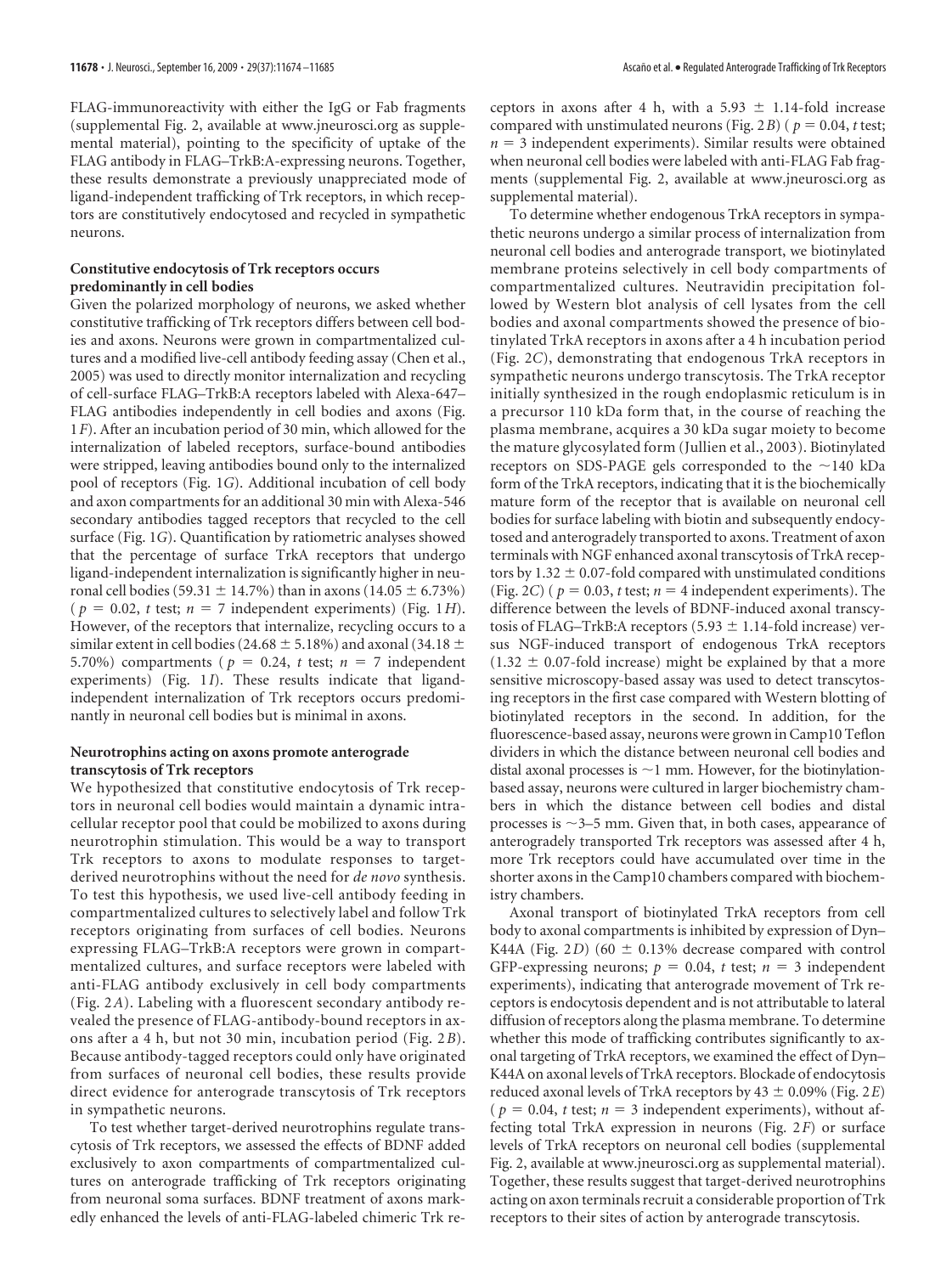FLAG-immunoreactivity with either the IgG or Fab fragments (supplemental Fig. 2, available at www.jneurosci.org as supplemental material), pointing to the specificity of uptake of the FLAG antibody in FLAG–TrkB:A-expressing neurons. Together, these results demonstrate a previously unappreciated mode of ligand-independent trafficking of Trk receptors, in which receptors are constitutively endocytosed and recycled in sympathetic neurons.

# **Constitutive endocytosis of Trk receptors occurs predominantly in cell bodies**

Given the polarized morphology of neurons, we asked whether constitutive trafficking of Trk receptors differs between cell bodies and axons. Neurons were grown in compartmentalized cultures and a modified live-cell antibody feeding assay (Chen et al., 2005) was used to directly monitor internalization and recycling of cell-surface FLAG–TrkB:A receptors labeled with Alexa-647– FLAG antibodies independently in cell bodies and axons (Fig. 1*F*). After an incubation period of 30 min, which allowed for the internalization of labeled receptors, surface-bound antibodies were stripped, leaving antibodies bound only to the internalized pool of receptors (Fig. 1*G*). Additional incubation of cell body and axon compartments for an additional 30 min with Alexa-546 secondary antibodies tagged receptors that recycled to the cell surface (Fig. 1*G*). Quantification by ratiometric analyses showed that the percentage of surface TrkA receptors that undergo ligand-independent internalization is significantly higher in neuronal cell bodies (59.31  $\pm$  14.7%) than in axons (14.05  $\pm$  6.73%)  $(p = 0.02, t \text{ test}; n = 7 \text{ independent experiments})$  (Fig. 1*H*). However, of the receptors that internalize, recycling occurs to a similar extent in cell bodies (24.68  $\pm$  5.18%) and axonal (34.18  $\pm$ 5.70%) compartments ( $p = 0.24$ , *t* test;  $n = 7$  independent experiments) (Fig. 1*I*). These results indicate that ligandindependent internalization of Trk receptors occurs predominantly in neuronal cell bodies but is minimal in axons.

# **Neurotrophins acting on axons promote anterograde transcytosis of Trk receptors**

We hypothesized that constitutive endocytosis of Trk receptors in neuronal cell bodies would maintain a dynamic intracellular receptor pool that could be mobilized to axons during neurotrophin stimulation. This would be a way to transport Trk receptors to axons to modulate responses to targetderived neurotrophins without the need for *de novo* synthesis. To test this hypothesis, we used live-cell antibody feeding in compartmentalized cultures to selectively label and follow Trk receptors originating from surfaces of cell bodies. Neurons expressing FLAG–TrkB:A receptors were grown in compartmentalized cultures, and surface receptors were labeled with anti-FLAG antibody exclusively in cell body compartments (Fig. 2*A*). Labeling with a fluorescent secondary antibody revealed the presence of FLAG-antibody-bound receptors in axons after a 4 h, but not 30 min, incubation period (Fig. 2*B*). Because antibody-tagged receptors could only have originated from surfaces of neuronal cell bodies, these results provide direct evidence for anterograde transcytosis of Trk receptors in sympathetic neurons.

To test whether target-derived neurotrophins regulate transcytosis of Trk receptors, we assessed the effects of BDNF added exclusively to axon compartments of compartmentalized cultures on anterograde trafficking of Trk receptors originating from neuronal soma surfaces. BDNF treatment of axons markedly enhanced the levels of anti-FLAG-labeled chimeric Trk receptors in axons after 4 h, with a 5.93  $\pm$  1.14-fold increase compared with unstimulated neurons (Fig. 2*B*) ( $p = 0.04$ , *t* test;  $n = 3$  independent experiments). Similar results were obtained when neuronal cell bodies were labeled with anti-FLAG Fab fragments (supplemental Fig. 2, available at www.jneurosci.org as supplemental material).

To determine whether endogenous TrkA receptors in sympathetic neurons undergo a similar process of internalization from neuronal cell bodies and anterograde transport, we biotinylated membrane proteins selectively in cell body compartments of compartmentalized cultures. Neutravidin precipitation followed by Western blot analysis of cell lysates from the cell bodies and axonal compartments showed the presence of biotinylated TrkA receptors in axons after a 4 h incubation period (Fig. 2*C*), demonstrating that endogenous TrkA receptors in sympathetic neurons undergo transcytosis. The TrkA receptor initially synthesized in the rough endoplasmic reticulum is in a precursor 110 kDa form that, in the course of reaching the plasma membrane, acquires a 30 kDa sugar moiety to become the mature glycosylated form (Jullien et al., 2003). Biotinylated receptors on SDS-PAGE gels corresponded to the  $\sim$ 140 kDa form of the TrkA receptors, indicating that it is the biochemically mature form of the receptor that is available on neuronal cell bodies for surface labeling with biotin and subsequently endocytosed and anterogradely transported to axons. Treatment of axon terminals with NGF enhanced axonal transcytosis of TrkA receptors by 1.32  $\pm$  0.07-fold compared with unstimulated conditions (Fig. 2*C*) ( $p = 0.03$ , *t* test;  $n = 4$  independent experiments). The difference between the levels of BDNF-induced axonal transcytosis of FLAG–TrkB:A receptors (5.93  $\pm$  1.14-fold increase) versus NGF-induced transport of endogenous TrkA receptors  $(1.32 \pm 0.07$ -fold increase) might be explained by that a more sensitive microscopy-based assay was used to detect transcytosing receptors in the first case compared with Western blotting of biotinylated receptors in the second. In addition, for the fluorescence-based assay, neurons were grown in Camp10 Teflon dividers in which the distance between neuronal cell bodies and distal axonal processes is  $\sim$ 1 mm. However, for the biotinylationbased assay, neurons were cultured in larger biochemistry chambers in which the distance between cell bodies and distal processes is  $\sim$ 3–5 mm. Given that, in both cases, appearance of anterogradely transported Trk receptors was assessed after 4 h, more Trk receptors could have accumulated over time in the shorter axons in the Camp10 chambers compared with biochemistry chambers.

Axonal transport of biotinylated TrkA receptors from cell body to axonal compartments is inhibited by expression of Dyn– K44A (Fig.  $2D$ ) (60  $\pm$  0.13% decrease compared with control GFP-expressing neurons;  $p = 0.04$ , *t* test;  $n = 3$  independent experiments), indicating that anterograde movement of Trk receptors is endocytosis dependent and is not attributable to lateral diffusion of receptors along the plasma membrane. To determine whether this mode of trafficking contributes significantly to axonal targeting of TrkA receptors, we examined the effect of Dyn– K44A on axonal levels of TrkA receptors. Blockade of endocytosis reduced axonal levels of TrkA receptors by  $43 \pm 0.09\%$  (Fig. 2*E*) ( $p = 0.04$ , *t* test;  $n = 3$  independent experiments), without affecting total TrkA expression in neurons (Fig. 2*F*) or surface levels of TrkA receptors on neuronal cell bodies (supplemental Fig. 2, available at www.jneurosci.org as supplemental material). Together, these results suggest that target-derived neurotrophins acting on axon terminals recruit a considerable proportion of Trk receptors to their sites of action by anterograde transcytosis.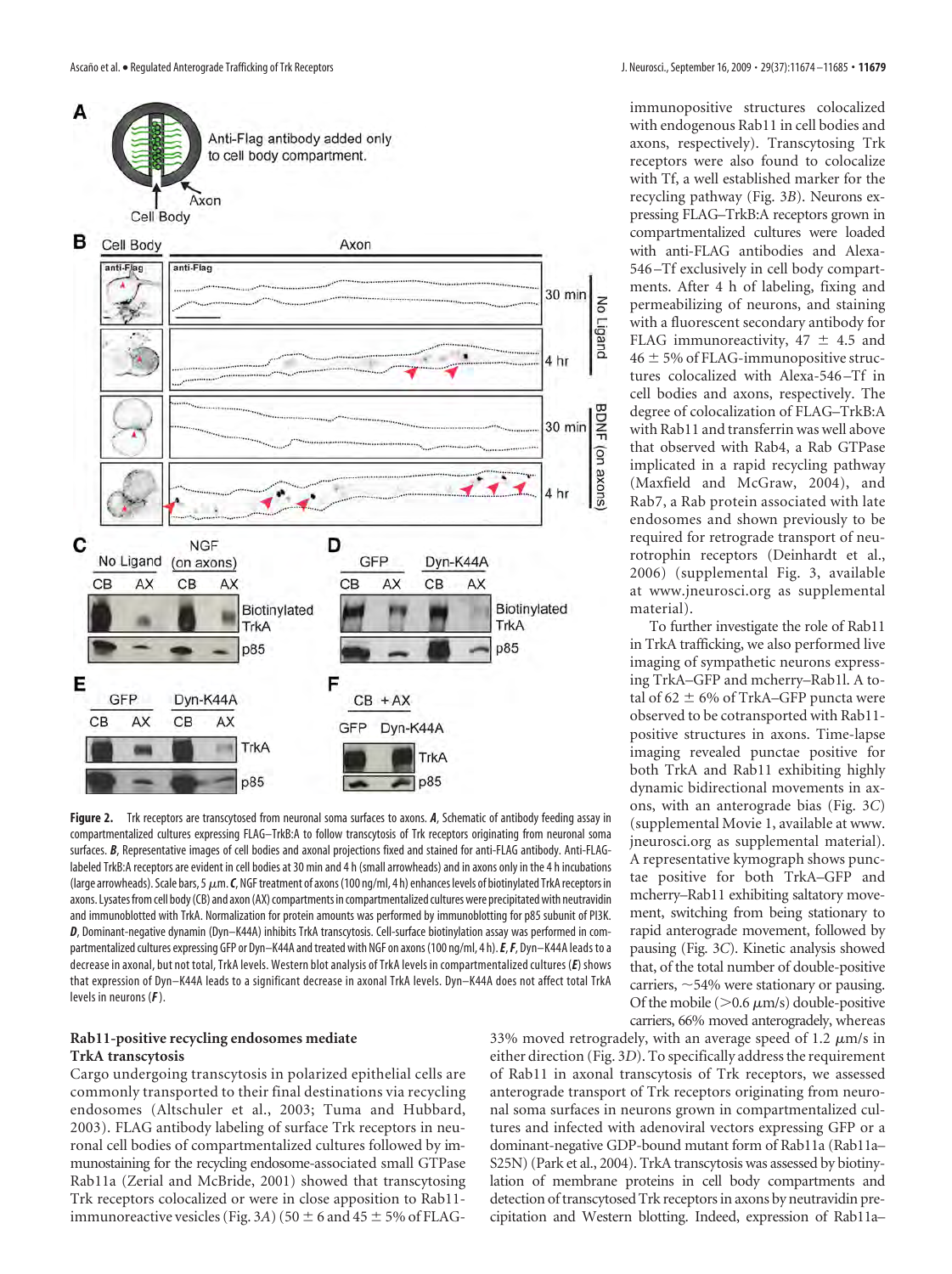

**Figure 2.** Trk receptors are transcytosed from neuronal soma surfaces to axons. *A*, Schematic of antibody feeding assay in compartmentalized cultures expressing FLAG–TrkB:A to follow transcytosis of Trk receptors originating from neuronal soma surfaces. *B*, Representative images of cell bodies and axonal projections fixed and stained for anti-FLAG antibody. Anti-FLAGlabeled TrkB:A receptors are evident in cell bodies at 30 min and 4 h (small arrowheads) and in axons only in the 4 h incubations (large arrowheads). Scale bars, 5  $\mu$ m. C, NGF treatment of axons (100 ng/ml, 4 h) enhances levels of biotinylated TrkA receptors in axons. Lysates from cell body (CB) and axon (AX) compartments in compartmentalized cultures were precipitated with neutravidin and immunoblotted with TrkA. Normalization for protein amounts was performed by immunoblotting for p85 subunit of PI3K. *D*, Dominant-negative dynamin (Dyn–K44A) inhibits TrkA transcytosis. Cell-surface biotinylation assay was performed in compartmentalized cultures expressing GFP or Dyn–K44A and treated with NGF on axons (100 ng/ml, 4 h).*E*,*F*, Dyn–K44A leads to a decrease in axonal, but not total, TrkA levels. Western blot analysis of TrkA levels in compartmentalized cultures (*E*) shows that expression of Dyn–K44A leads to a significant decrease in axonal TrkA levels. Dyn–K44A does not affect total TrkA levels in neurons (*F*).

## **Rab11-positive recycling endosomes mediate TrkA transcytosis**

Cargo undergoing transcytosis in polarized epithelial cells are commonly transported to their final destinations via recycling endosomes (Altschuler et al., 2003; Tuma and Hubbard, 2003). FLAG antibody labeling of surface Trk receptors in neuronal cell bodies of compartmentalized cultures followed by immunostaining for the recycling endosome-associated small GTPase Rab11a (Zerial and McBride, 2001) showed that transcytosing Trk receptors colocalized or were in close apposition to Rab11 immunoreactive vesicles (Fig. 3A) (50  $\pm$  6 and 45  $\pm$  5% of FLAG-

immunopositive structures colocalized with endogenous Rab11 in cell bodies and axons, respectively). Transcytosing Trk receptors were also found to colocalize with Tf, a well established marker for the recycling pathway (Fig. 3*B*). Neurons expressing FLAG–TrkB:A receptors grown in compartmentalized cultures were loaded with anti-FLAG antibodies and Alexa-546 –Tf exclusively in cell body compartments. After 4 h of labeling, fixing and permeabilizing of neurons, and staining with a fluorescent secondary antibody for FLAG immunoreactivity,  $47 \pm 4.5$  and  $46 \pm 5\%$  of FLAG-immunopositive structures colocalized with Alexa-546 –Tf in cell bodies and axons, respectively. The degree of colocalization of FLAG–TrkB:A with Rab11 and transferrin was well above that observed with Rab4, a Rab GTPase implicated in a rapid recycling pathway (Maxfield and McGraw, 2004), and Rab7, a Rab protein associated with late endosomes and shown previously to be required for retrograde transport of neurotrophin receptors (Deinhardt et al., 2006) (supplemental Fig. 3, available at www.jneurosci.org as supplemental material).

To further investigate the role of Rab11 in TrkA trafficking, we also performed live imaging of sympathetic neurons expressing TrkA–GFP and mcherry–Rab1l. A total of 62  $\pm$  6% of TrkA–GFP puncta were observed to be cotransported with Rab11 positive structures in axons. Time-lapse imaging revealed punctae positive for both TrkA and Rab11 exhibiting highly dynamic bidirectional movements in axons, with an anterograde bias (Fig. 3*C*) (supplemental Movie 1, available at www. jneurosci.org as supplemental material). A representative kymograph shows punctae positive for both TrkA–GFP and mcherry–Rab11 exhibiting saltatory movement, switching from being stationary to rapid anterograde movement, followed by pausing (Fig. 3*C*). Kinetic analysis showed that, of the total number of double-positive carriers,  $\sim$  54% were stationary or pausing. Of the mobile ( $>$ 0.6  $\mu$ m/s) double-positive carriers, 66% moved anterogradely, whereas

33% moved retrogradely, with an average speed of 1.2  $\mu$ m/s in either direction (Fig. 3*D*). To specifically address the requirement of Rab11 in axonal transcytosis of Trk receptors, we assessed anterograde transport of Trk receptors originating from neuronal soma surfaces in neurons grown in compartmentalized cultures and infected with adenoviral vectors expressing GFP or a dominant-negative GDP-bound mutant form of Rab11a (Rab11a-S25N) (Park et al., 2004). TrkA transcytosis was assessed by biotinylation of membrane proteins in cell body compartments and detection of transcytosed Trk receptors in axons by neutravidin precipitation and Western blotting. Indeed, expression of Rab11a–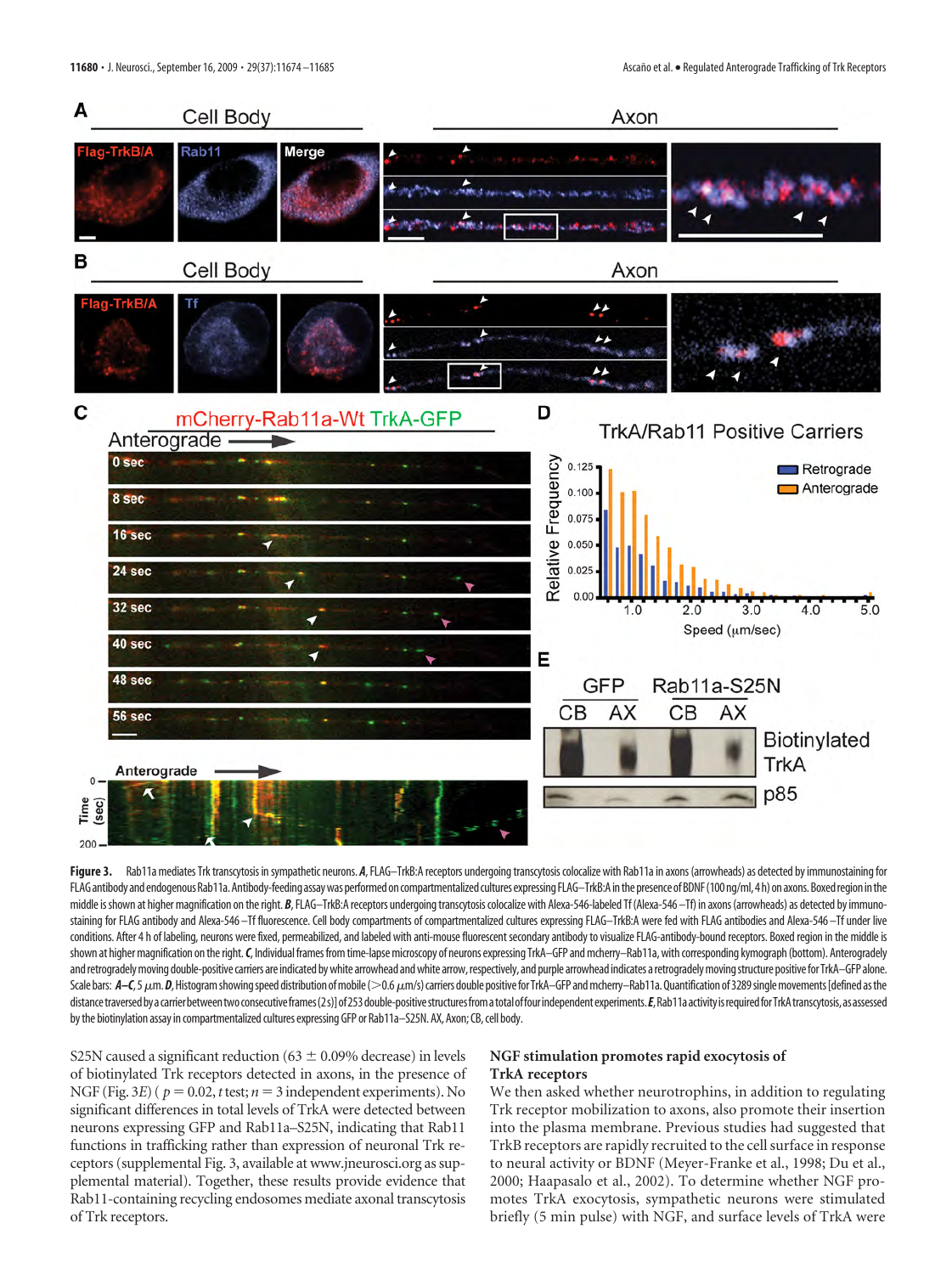

Figure 3. Rab11a mediates Trk transcytosis in sympathetic neurons. *A*, FLAG–TrkB:A receptors undergoing transcytosis colocalize with Rab11a in axons (arrowheads) as detected by immunostaining for FLAG antibody and endogenous Rab11a. Antibody-feeding assay was performed on compartmentalized cultures expressing FLAG-TrkB:A in the presence of BDNF (100 ng/ml, 4h) on axons. Boxed region in the middle is shown at higher magnification on the right. *B*, FLAG–TrkB:A receptors undergoing transcytosis colocalize with Alexa-546-labeled Tf (Alexa-546 –Tf) in axons (arrowheads) as detected by immunostaining for FLAG antibody and Alexa-546 –Tf fluorescence. Cell body compartments of compartmentalized cultures expressing FLAG–TrkB:A were fed with FLAG antibodies and Alexa-546 –Tf under live conditions. After 4 h of labeling, neurons were fixed, permeabilized, and labeled with anti-mouse fluorescent secondary antibody to visualize FLAG-antibody-bound receptors. Boxed region in the middle is shown at higher magnification on the right. C, Individual frames from time-lapse microscopy of neurons expressing TrkA–GFP and mcherry–Rab11a, with corresponding kymograph (bottom). Anterogradely and retrogradely moving double-positive carriers are indicated by white arrowhead and white arrow, respectively, and purple arrowhead indicates a retrogradely moving structure positive for TrkA–GFP alone. Scale bars:  $A$ – $C$ , 5 $\,\rm \mu$ m.  $D$ , Histogram showing speed distribution of mobile ( $>$ 0.6  $\rm \mu$ m/s) carriers double positive for TrkA–GFP and mcherry–Rab11a. Quantification of 3289 single movements [defined as the distance traversed byacarrier between two consecutive frames(2s)] of 253 double-positive structures from a total of four independent experiments.  $E$ , Rab11a activity is required for TrkA transcytosis, as assessed bythe biotinylation assay in compartmentalized cultures expressing GFP or Rab11a–S25N. AX, Axon; CB, cell body.

S25N caused a significant reduction ( $63 \pm 0.09\%$  decrease) in levels of biotinylated Trk receptors detected in axons, in the presence of NGF (Fig. 3*E*) ( $p = 0.02$ , *t* test;  $n = 3$  independent experiments). No significant differences in total levels of TrkA were detected between neurons expressing GFP and Rab11a–S25N, indicating that Rab11 functions in trafficking rather than expression of neuronal Trk receptors (supplemental Fig. 3, available at www.jneurosci.org as supplemental material). Together, these results provide evidence that Rab11-containing recycling endosomes mediate axonal transcytosis of Trk receptors.

## **NGF stimulation promotes rapid exocytosis of TrkA receptors**

We then asked whether neurotrophins, in addition to regulating Trk receptor mobilization to axons, also promote their insertion into the plasma membrane. Previous studies had suggested that TrkB receptors are rapidly recruited to the cell surface in response to neural activity or BDNF (Meyer-Franke et al., 1998; Du et al., 2000; Haapasalo et al., 2002). To determine whether NGF promotes TrkA exocytosis, sympathetic neurons were stimulated briefly (5 min pulse) with NGF, and surface levels of TrkA were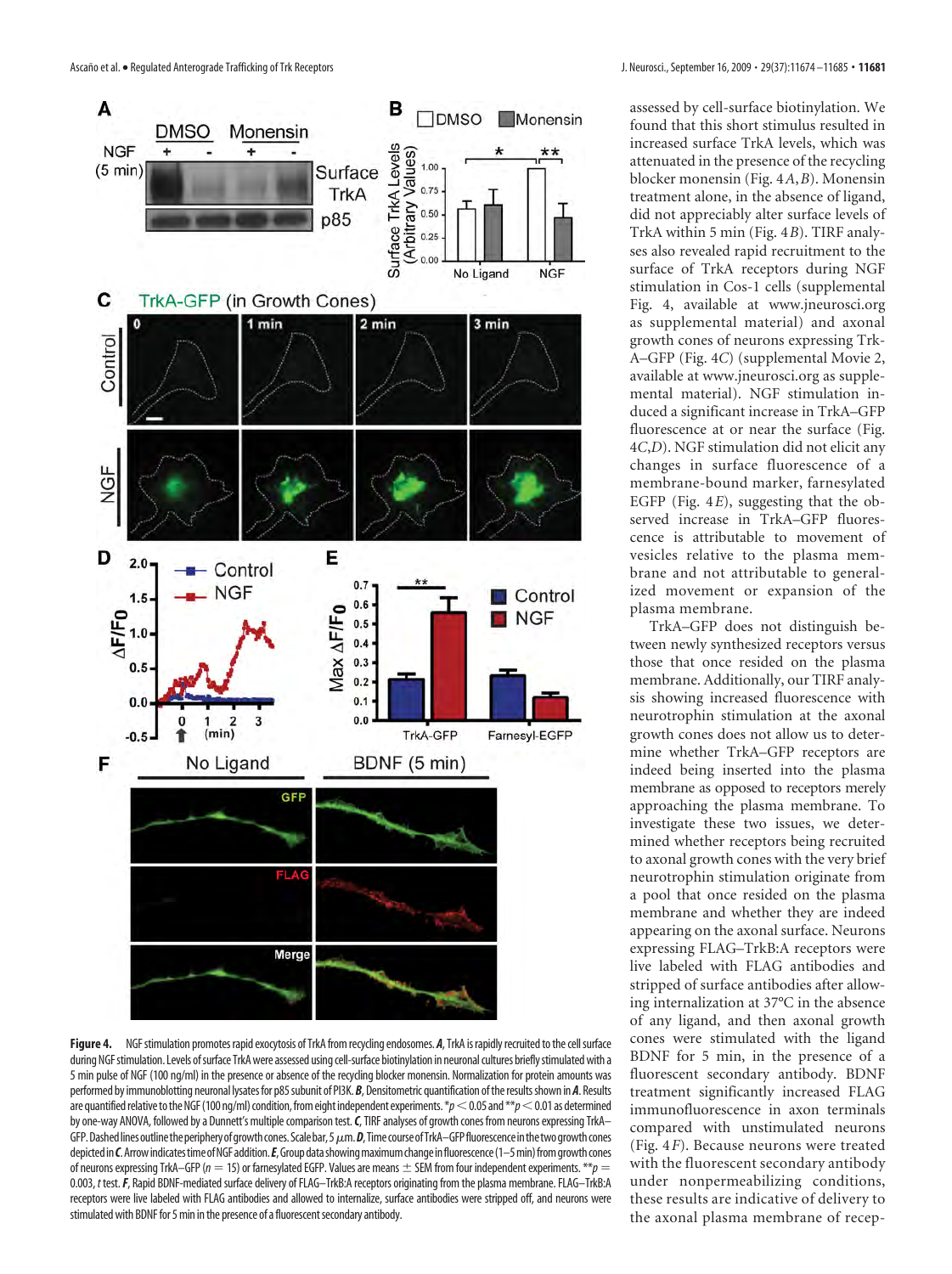

Figure 4. NGF stimulation promotes rapid exocytosis of TrkA from recycling endosomes. A, TrkA is rapidly recruited to the cell surface during NGF stimulation. Levels of surface TrkA were assessed using cell-surface biotinylation in neuronal cultures briefly stimulated with a 5 min pulse of NGF (100 ng/ml) in the presence or absence of the recycling blocker monensin. Normalization for protein amounts was performed by immunoblotting neuronal lysates for p85 subunit of PI3K. B, Densitometric quantification of the results shown in A. Results are quantified relative to the NGF (100 ng/ml) condition, from eight independent experiments.  $*p$  < 0.05 and  $**p$  < 0.01 as determined by one-way ANOVA, followed by a Dunnett's multiple comparison test.*C*, TIRF analyses of growth cones from neurons expressing TrkA– GFP. Dashed lines outline the periphery of growth cones. Scale bar, 5  $\mu$ m. **D**, Time course of TrkA–GFP fluorescence in the two growth cones depicted in C. Arrow indicates time of NGF addition. E, Group data showing maximum change in fluorescence (1–5 min) from growth cones of neurons expressing TrkA–GFP ( $n = 15$ ) or farnesylated EGFP. Values are means  $\pm$  SEM from four independent experiments. \*\* $p =$ 0.003, *t* test.*F*, Rapid BDNF-mediated surface delivery of FLAG–TrkB:A receptors originating from the plasma membrane. FLAG–TrkB:A receptors were live labeled with FLAG antibodies and allowed to internalize, surface antibodies were stripped off, and neurons were stimulated with BDNF for 5 min in the presence of a fluorescent secondary antibody.

assessed by cell-surface biotinylation. We found that this short stimulus resulted in increased surface TrkA levels, which was attenuated in the presence of the recycling blocker monensin (Fig. 4*A*,*B*). Monensin treatment alone, in the absence of ligand, did not appreciably alter surface levels of TrkA within 5 min (Fig. 4*B*). TIRF analyses also revealed rapid recruitment to the surface of TrkA receptors during NGF stimulation in Cos-1 cells (supplemental Fig. 4, available at www.jneurosci.org as supplemental material) and axonal growth cones of neurons expressing Trk-A–GFP (Fig. 4*C*) (supplemental Movie 2, available at www.jneurosci.org as supplemental material). NGF stimulation induced a significant increase in TrkA–GFP fluorescence at or near the surface (Fig. 4*C*,*D*). NGF stimulation did not elicit any changes in surface fluorescence of a membrane-bound marker, farnesylated EGFP (Fig. 4*E*), suggesting that the observed increase in TrkA–GFP fluorescence is attributable to movement of vesicles relative to the plasma membrane and not attributable to generalized movement or expansion of the plasma membrane.

TrkA–GFP does not distinguish between newly synthesized receptors versus those that once resided on the plasma membrane. Additionally, our TIRF analysis showing increased fluorescence with neurotrophin stimulation at the axonal growth cones does not allow us to determine whether TrkA–GFP receptors are indeed being inserted into the plasma membrane as opposed to receptors merely approaching the plasma membrane. To investigate these two issues, we determined whether receptors being recruited to axonal growth cones with the very brief neurotrophin stimulation originate from a pool that once resided on the plasma membrane and whether they are indeed appearing on the axonal surface. Neurons expressing FLAG–TrkB:A receptors were live labeled with FLAG antibodies and stripped of surface antibodies after allowing internalization at 37°C in the absence of any ligand, and then axonal growth cones were stimulated with the ligand BDNF for 5 min, in the presence of a fluorescent secondary antibody. BDNF treatment significantly increased FLAG immunofluorescence in axon terminals compared with unstimulated neurons (Fig. 4*F*). Because neurons were treated with the fluorescent secondary antibody under nonpermeabilizing conditions, these results are indicative of delivery to the axonal plasma membrane of recep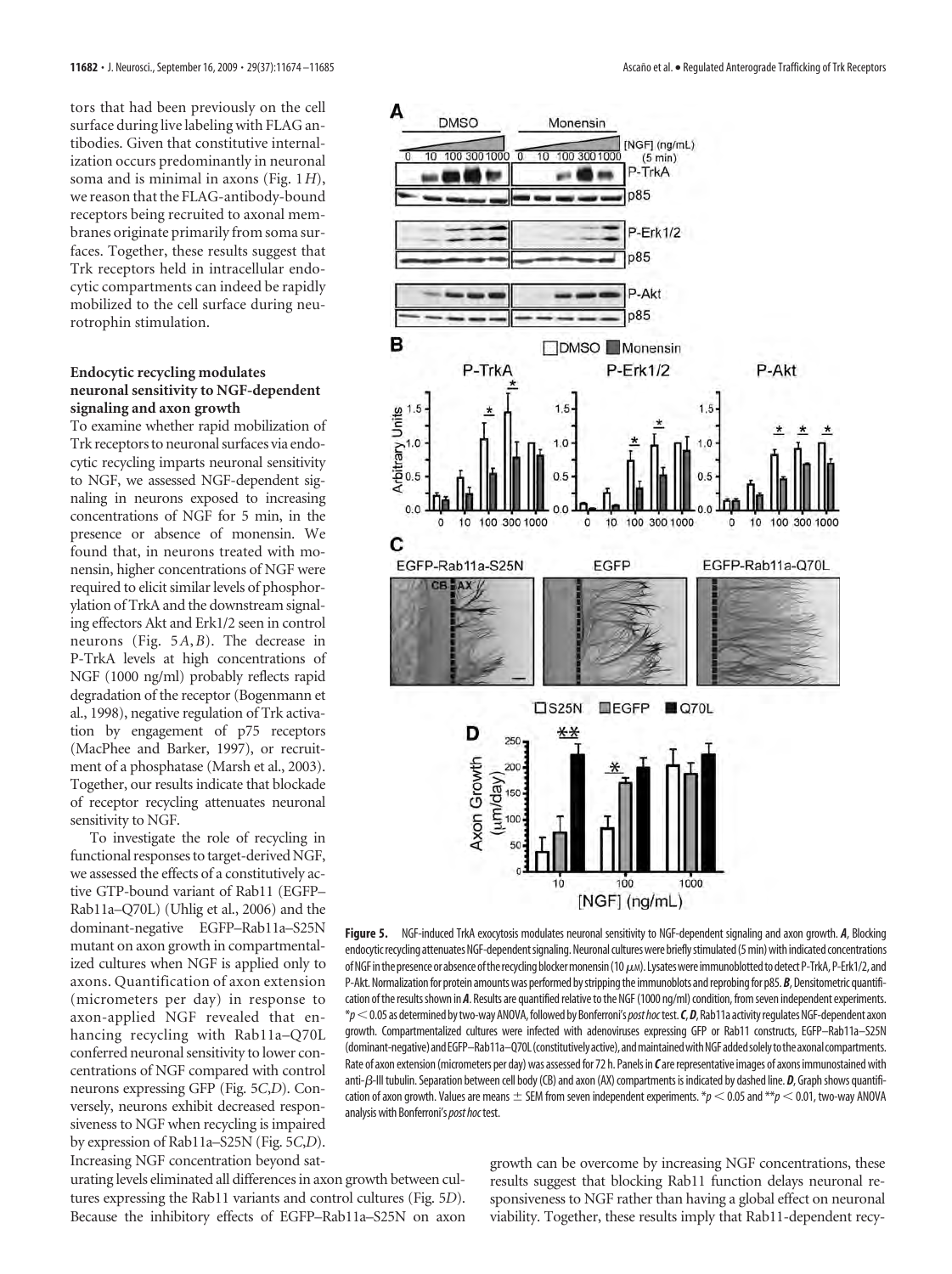tors that had been previously on the cell surface during live labeling with FLAG antibodies. Given that constitutive internalization occurs predominantly in neuronal soma and is minimal in axons (Fig. 1*H*), we reason that the FLAG-antibody-bound receptors being recruited to axonal membranes originate primarily from soma surfaces. Together, these results suggest that Trk receptors held in intracellular endocytic compartments can indeed be rapidly mobilized to the cell surface during neurotrophin stimulation.

## **Endocytic recycling modulates neuronal sensitivity to NGF-dependent signaling and axon growth**

To examine whether rapid mobilization of Trk receptors to neuronal surfaces via endocytic recycling imparts neuronal sensitivity to NGF, we assessed NGF-dependent signaling in neurons exposed to increasing concentrations of NGF for 5 min, in the presence or absence of monensin. We found that, in neurons treated with monensin, higher concentrations of NGF were required to elicit similar levels of phosphorylation of TrkA and the downstream signaling effectors Akt and Erk1/2 seen in control neurons (Fig. 5*A*,*B*). The decrease in P-TrkA levels at high concentrations of NGF (1000 ng/ml) probably reflects rapid degradation of the receptor (Bogenmann et al., 1998), negative regulation of Trk activation by engagement of p75 receptors (MacPhee and Barker, 1997), or recruitment of a phosphatase (Marsh et al., 2003). Together, our results indicate that blockade of receptor recycling attenuates neuronal sensitivity to NGF.

To investigate the role of recycling in functional responses to target-derived NGF, we assessed the effects of a constitutively active GTP-bound variant of Rab11 (EGFP– Rab11a–Q70L) (Uhlig et al., 2006) and the dominant-negative EGFP–Rab11a–S25N mutant on axon growth in compartmentalized cultures when NGF is applied only to axons. Quantification of axon extension (micrometers per day) in response to axon-applied NGF revealed that enhancing recycling with Rab11a–Q70L conferred neuronal sensitivity to lower concentrations of NGF compared with control neurons expressing GFP (Fig. 5*C*,*D*). Conversely, neurons exhibit decreased responsiveness to NGF when recycling is impaired by expression of Rab11a–S25N (Fig. 5*C*,*D*). Increasing NGF concentration beyond sat-



**Figure 5.** NGF-induced TrkA exocytosis modulates neuronal sensitivity to NGF-dependent signaling and axon growth. *A*, Blocking endocytic recycling attenuates NGF-dependent signaling. Neuronal cultures were briefly stimulated (5 min) with indicated concentrations of NGF in the presence or absence of the recycling blocker monensin (10  $\mu$ M). Lysates were immunoblotted to detect P-TrkA, P-Erk1/2, and P-Akt. Normalization for protein amounts was performed by stripping the immunoblots and reprobing for p85. **B**, Densitometric quantification of the results shown in *A*. Results are quantified relative to the NGF (1000 ng/ml) condition, from seven independent experiments. \**p*0.05 asdeterminedbytwo-wayANOVA,followedbyBonferroni's*post hoc*test.*C*,*D*,Rab11a activityregulatesNGF-dependent axon growth. Compartmentalized cultures were infected with adenoviruses expressing GFP or Rab11 constructs, EGFP–Rab11a–S25N (dominant-negative) and EGFP-Rab11a-Q70L (constitutively active), and maintained with NGF added solely to the axonal compartments. Rate of axon extension (micrometers per day) was assessed for 72 h. Panels in Care representative images of axons immunostained with anti- $B$ -III tubulin. Separation between cell body (CB) and axon (AX) compartments is indicated by dashed line. *D*, Graph shows quantification of axon growth. Values are means  $\pm$  SEM from seven independent experiments.  $*_p$  < 0.05 and  $**_p$  < 0.01, two-way ANOVA analysis with Bonferroni's*post hoc*test.

urating levels eliminated all differences in axon growth between cultures expressing the Rab11 variants and control cultures (Fig. 5*D*). Because the inhibitory effects of EGFP–Rab11a–S25N on axon

growth can be overcome by increasing NGF concentrations, these results suggest that blocking Rab11 function delays neuronal responsiveness to NGF rather than having a global effect on neuronal viability. Together, these results imply that Rab11-dependent recy-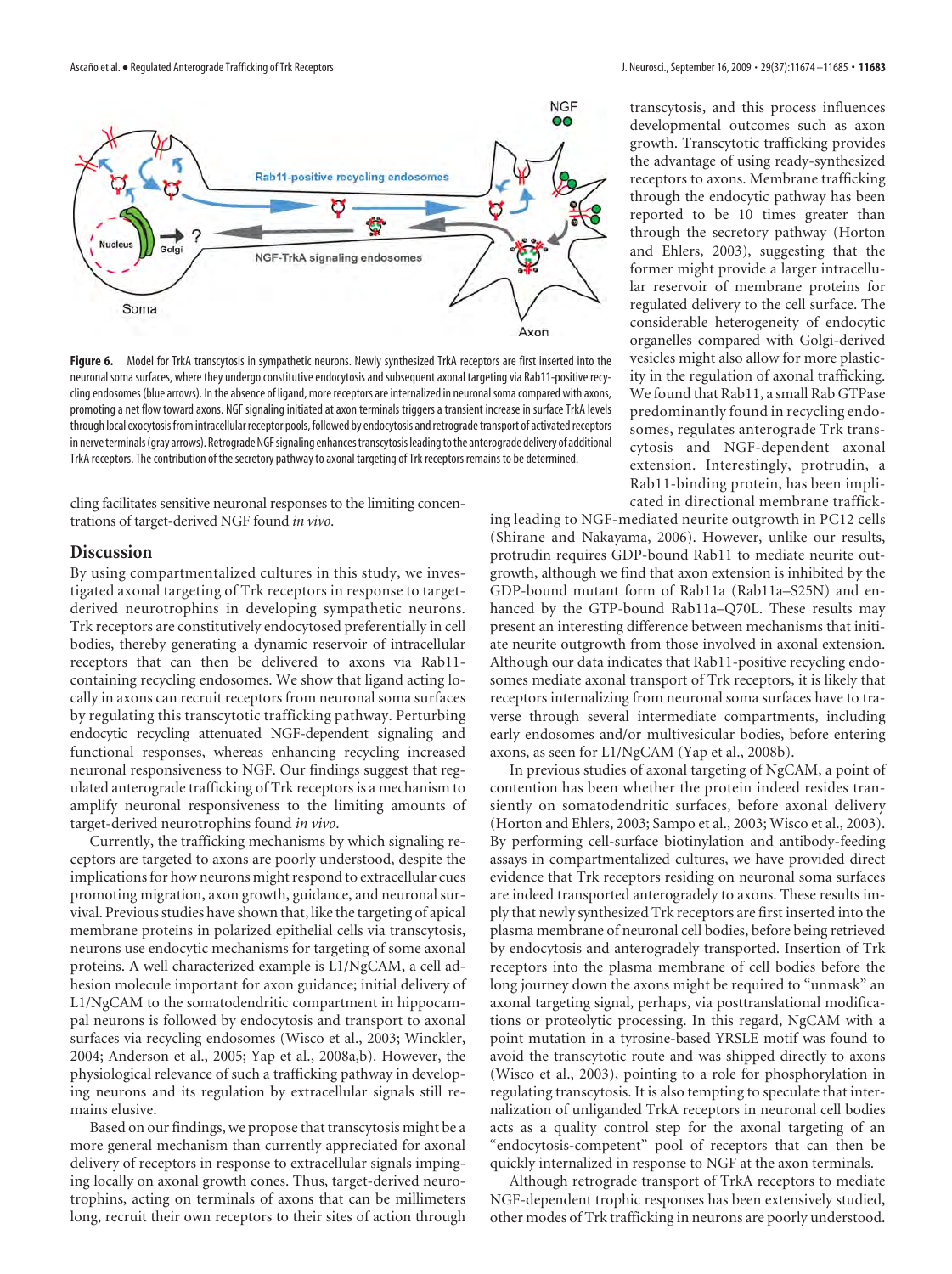

**Figure 6.** Model for TrkA transcytosis in sympathetic neurons. Newly synthesized TrkA receptors are first inserted into the neuronal soma surfaces, where they undergo constitutive endocytosis and subsequent axonal targeting via Rab11-positive recycling endosomes (blue arrows). In the absence of ligand, more receptors are internalized in neuronal soma compared with axons, promoting a net flow toward axons. NGF signaling initiated at axon terminals triggers a transient increase in surface TrkA levels through local exocytosis from intracellular receptor pools, followed by endocytosis and retrograde transport of activated receptors in nerve terminals (gray arrows). Retrograde NGF signaling enhances transcytosis leading to the anterograde delivery of additional TrkA receptors. The contribution of the secretory pathway to axonal targeting of Trk receptors remains to be determined.

cling facilitates sensitive neuronal responses to the limiting concentrations of target-derived NGF found *in vivo*.

### **Discussion**

By using compartmentalized cultures in this study, we investigated axonal targeting of Trk receptors in response to targetderived neurotrophins in developing sympathetic neurons. Trk receptors are constitutively endocytosed preferentially in cell bodies, thereby generating a dynamic reservoir of intracellular receptors that can then be delivered to axons via Rab11 containing recycling endosomes. We show that ligand acting locally in axons can recruit receptors from neuronal soma surfaces by regulating this transcytotic trafficking pathway. Perturbing endocytic recycling attenuated NGF-dependent signaling and functional responses, whereas enhancing recycling increased neuronal responsiveness to NGF. Our findings suggest that regulated anterograde trafficking of Trk receptors is a mechanism to amplify neuronal responsiveness to the limiting amounts of target-derived neurotrophins found *in vivo*.

Currently, the trafficking mechanisms by which signaling receptors are targeted to axons are poorly understood, despite the implications for how neurons might respond to extracellular cues promoting migration, axon growth, guidance, and neuronal survival. Previous studies have shown that, like the targeting of apical membrane proteins in polarized epithelial cells via transcytosis, neurons use endocytic mechanisms for targeting of some axonal proteins. A well characterized example is L1/NgCAM, a cell adhesion molecule important for axon guidance; initial delivery of L1/NgCAM to the somatodendritic compartment in hippocampal neurons is followed by endocytosis and transport to axonal surfaces via recycling endosomes (Wisco et al., 2003; Winckler, 2004; Anderson et al., 2005; Yap et al., 2008a,b). However, the physiological relevance of such a trafficking pathway in developing neurons and its regulation by extracellular signals still remains elusive.

Based on our findings, we propose that transcytosis might be a more general mechanism than currently appreciated for axonal delivery of receptors in response to extracellular signals impinging locally on axonal growth cones. Thus, target-derived neurotrophins, acting on terminals of axons that can be millimeters long, recruit their own receptors to their sites of action through

transcytosis, and this process influences developmental outcomes such as axon growth. Transcytotic trafficking provides the advantage of using ready-synthesized receptors to axons. Membrane trafficking through the endocytic pathway has been reported to be 10 times greater than through the secretory pathway (Horton and Ehlers, 2003), suggesting that the former might provide a larger intracellular reservoir of membrane proteins for regulated delivery to the cell surface. The considerable heterogeneity of endocytic organelles compared with Golgi-derived vesicles might also allow for more plasticity in the regulation of axonal trafficking. We found that Rab11, a small Rab GTPase predominantly found in recycling endosomes, regulates anterograde Trk transcytosis and NGF-dependent axonal extension. Interestingly, protrudin, a Rab11-binding protein, has been implicated in directional membrane traffick-

ing leading to NGF-mediated neurite outgrowth in PC12 cells (Shirane and Nakayama, 2006). However, unlike our results, protrudin requires GDP-bound Rab11 to mediate neurite outgrowth, although we find that axon extension is inhibited by the GDP-bound mutant form of Rab11a (Rab11a–S25N) and enhanced by the GTP-bound Rab11a–Q70L. These results may present an interesting difference between mechanisms that initiate neurite outgrowth from those involved in axonal extension. Although our data indicates that Rab11-positive recycling endosomes mediate axonal transport of Trk receptors, it is likely that receptors internalizing from neuronal soma surfaces have to traverse through several intermediate compartments, including early endosomes and/or multivesicular bodies, before entering axons, as seen for L1/NgCAM (Yap et al., 2008b).

In previous studies of axonal targeting of NgCAM, a point of contention has been whether the protein indeed resides transiently on somatodendritic surfaces, before axonal delivery (Horton and Ehlers, 2003; Sampo et al., 2003; Wisco et al., 2003). By performing cell-surface biotinylation and antibody-feeding assays in compartmentalized cultures, we have provided direct evidence that Trk receptors residing on neuronal soma surfaces are indeed transported anterogradely to axons. These results imply that newly synthesized Trk receptors are first inserted into the plasma membrane of neuronal cell bodies, before being retrieved by endocytosis and anterogradely transported. Insertion of Trk receptors into the plasma membrane of cell bodies before the long journey down the axons might be required to "unmask" an axonal targeting signal, perhaps, via posttranslational modifications or proteolytic processing. In this regard, NgCAM with a point mutation in a tyrosine-based YRSLE motif was found to avoid the transcytotic route and was shipped directly to axons (Wisco et al., 2003), pointing to a role for phosphorylation in regulating transcytosis. It is also tempting to speculate that internalization of unliganded TrkA receptors in neuronal cell bodies acts as a quality control step for the axonal targeting of an "endocytosis-competent" pool of receptors that can then be quickly internalized in response to NGF at the axon terminals.

Although retrograde transport of TrkA receptors to mediate NGF-dependent trophic responses has been extensively studied, other modes of Trk trafficking in neurons are poorly understood.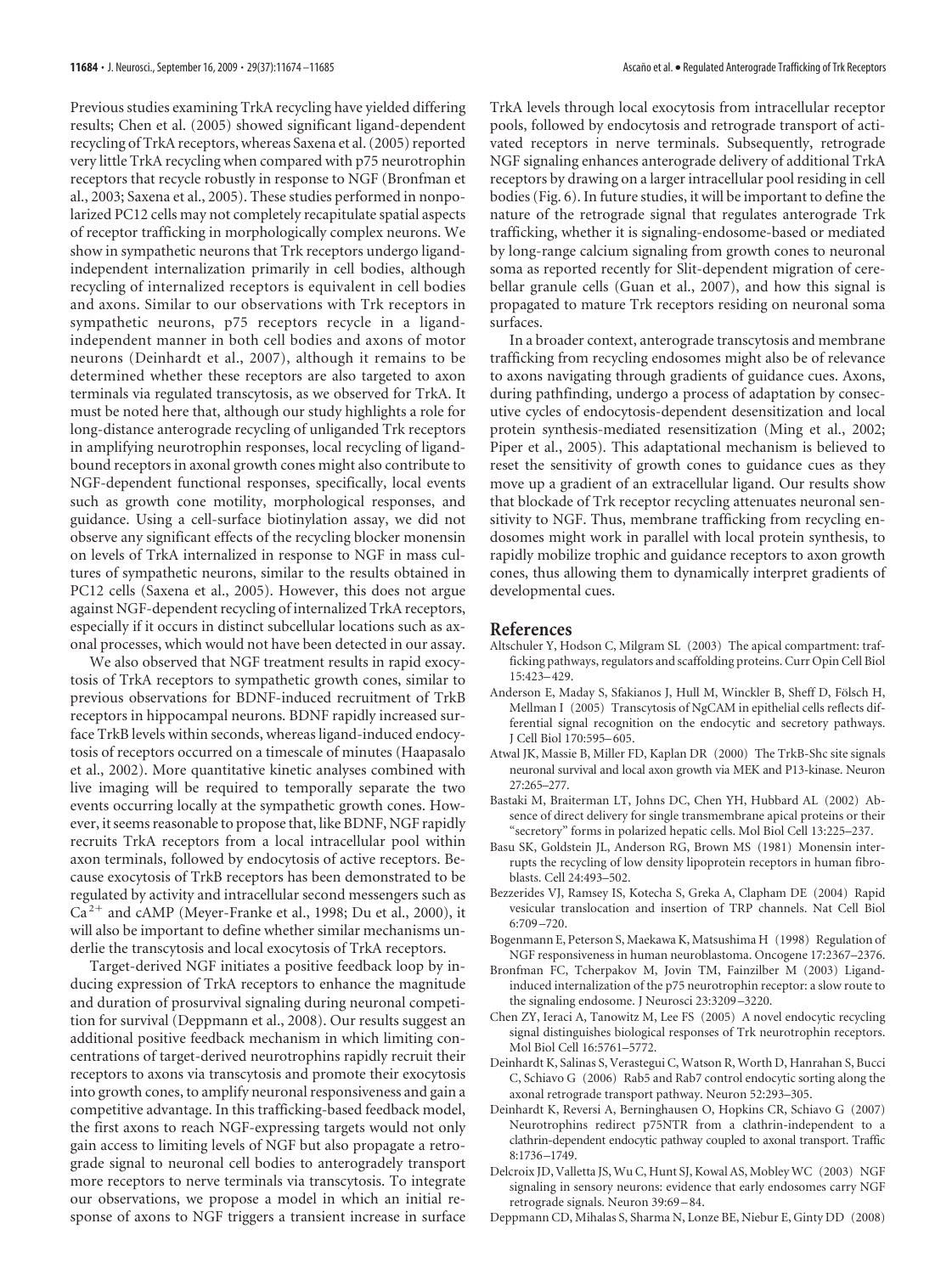Previous studies examining TrkA recycling have yielded differing results; Chen et al. (2005) showed significant ligand-dependent recycling of TrkA receptors, whereas Saxena et al. (2005) reported very little TrkA recycling when compared with p75 neurotrophin receptors that recycle robustly in response to NGF (Bronfman et al., 2003; Saxena et al., 2005). These studies performed in nonpolarized PC12 cells may not completely recapitulate spatial aspects of receptor trafficking in morphologically complex neurons. We show in sympathetic neurons that Trk receptors undergo ligandindependent internalization primarily in cell bodies, although recycling of internalized receptors is equivalent in cell bodies and axons. Similar to our observations with Trk receptors in sympathetic neurons, p75 receptors recycle in a ligandindependent manner in both cell bodies and axons of motor neurons (Deinhardt et al., 2007), although it remains to be determined whether these receptors are also targeted to axon terminals via regulated transcytosis, as we observed for TrkA. It must be noted here that, although our study highlights a role for long-distance anterograde recycling of unliganded Trk receptors in amplifying neurotrophin responses, local recycling of ligandbound receptors in axonal growth cones might also contribute to NGF-dependent functional responses, specifically, local events such as growth cone motility, morphological responses, and guidance. Using a cell-surface biotinylation assay, we did not observe any significant effects of the recycling blocker monensin on levels of TrkA internalized in response to NGF in mass cultures of sympathetic neurons, similar to the results obtained in PC12 cells (Saxena et al., 2005). However, this does not argue against NGF-dependent recycling of internalized TrkA receptors, especially if it occurs in distinct subcellular locations such as axonal processes, which would not have been detected in our assay.

We also observed that NGF treatment results in rapid exocytosis of TrkA receptors to sympathetic growth cones, similar to previous observations for BDNF-induced recruitment of TrkB receptors in hippocampal neurons. BDNF rapidly increased surface TrkB levels within seconds, whereas ligand-induced endocytosis of receptors occurred on a timescale of minutes (Haapasalo et al., 2002). More quantitative kinetic analyses combined with live imaging will be required to temporally separate the two events occurring locally at the sympathetic growth cones. However, it seems reasonable to propose that, like BDNF, NGF rapidly recruits TrkA receptors from a local intracellular pool within axon terminals, followed by endocytosis of active receptors. Because exocytosis of TrkB receptors has been demonstrated to be regulated by activity and intracellular second messengers such as  $Ca<sup>2+</sup>$  and cAMP (Meyer-Franke et al., 1998; Du et al., 2000), it will also be important to define whether similar mechanisms underlie the transcytosis and local exocytosis of TrkA receptors.

Target-derived NGF initiates a positive feedback loop by inducing expression of TrkA receptors to enhance the magnitude and duration of prosurvival signaling during neuronal competition for survival (Deppmann et al., 2008). Our results suggest an additional positive feedback mechanism in which limiting concentrations of target-derived neurotrophins rapidly recruit their receptors to axons via transcytosis and promote their exocytosis into growth cones, to amplify neuronal responsiveness and gain a competitive advantage. In this trafficking-based feedback model, the first axons to reach NGF-expressing targets would not only gain access to limiting levels of NGF but also propagate a retrograde signal to neuronal cell bodies to anterogradely transport more receptors to nerve terminals via transcytosis. To integrate our observations, we propose a model in which an initial response of axons to NGF triggers a transient increase in surface

TrkA levels through local exocytosis from intracellular receptor pools, followed by endocytosis and retrograde transport of activated receptors in nerve terminals. Subsequently, retrograde NGF signaling enhances anterograde delivery of additional TrkA receptors by drawing on a larger intracellular pool residing in cell bodies (Fig. 6). In future studies, it will be important to define the nature of the retrograde signal that regulates anterograde Trk trafficking, whether it is signaling-endosome-based or mediated by long-range calcium signaling from growth cones to neuronal soma as reported recently for Slit-dependent migration of cerebellar granule cells (Guan et al., 2007), and how this signal is propagated to mature Trk receptors residing on neuronal soma surfaces.

In a broader context, anterograde transcytosis and membrane trafficking from recycling endosomes might also be of relevance to axons navigating through gradients of guidance cues. Axons, during pathfinding, undergo a process of adaptation by consecutive cycles of endocytosis-dependent desensitization and local protein synthesis-mediated resensitization (Ming et al., 2002; Piper et al., 2005). This adaptational mechanism is believed to reset the sensitivity of growth cones to guidance cues as they move up a gradient of an extracellular ligand. Our results show that blockade of Trk receptor recycling attenuates neuronal sensitivity to NGF. Thus, membrane trafficking from recycling endosomes might work in parallel with local protein synthesis, to rapidly mobilize trophic and guidance receptors to axon growth cones, thus allowing them to dynamically interpret gradients of developmental cues.

#### **References**

- Altschuler Y, Hodson C, Milgram SL (2003) The apical compartment: trafficking pathways, regulators and scaffolding proteins. Curr Opin Cell Biol 15:423–429.
- Anderson E, Maday S, Sfakianos J, Hull M, Winckler B, Sheff D, Fölsch H, Mellman I (2005) Transcytosis of NgCAM in epithelial cells reflects differential signal recognition on the endocytic and secretory pathways. J Cell Biol 170:595–605.
- Atwal JK, Massie B, Miller FD, Kaplan DR (2000) The TrkB-Shc site signals neuronal survival and local axon growth via MEK and P13-kinase. Neuron 27:265–277.
- Bastaki M, Braiterman LT, Johns DC, Chen YH, Hubbard AL (2002) Absence of direct delivery for single transmembrane apical proteins or their "secretory" forms in polarized hepatic cells. Mol Biol Cell 13:225–237.
- Basu SK, Goldstein JL, Anderson RG, Brown MS (1981) Monensin interrupts the recycling of low density lipoprotein receptors in human fibroblasts. Cell 24:493–502.
- Bezzerides VJ, Ramsey IS, Kotecha S, Greka A, Clapham DE (2004) Rapid vesicular translocation and insertion of TRP channels. Nat Cell Biol 6:709 –720.
- Bogenmann E, Peterson S, Maekawa K, Matsushima H (1998) Regulation of NGF responsiveness in human neuroblastoma. Oncogene 17:2367–2376.
- Bronfman FC, Tcherpakov M, Jovin TM, Fainzilber M (2003) Ligandinduced internalization of the p75 neurotrophin receptor: a slow route to the signaling endosome. J Neurosci 23:3209 –3220.
- Chen ZY, Ieraci A, Tanowitz M, Lee FS (2005) A novel endocytic recycling signal distinguishes biological responses of Trk neurotrophin receptors. Mol Biol Cell 16:5761–5772.
- Deinhardt K, Salinas S, Verastegui C, Watson R, Worth D, Hanrahan S, Bucci C, Schiavo G (2006) Rab5 and Rab7 control endocytic sorting along the axonal retrograde transport pathway. Neuron 52:293–305.
- Deinhardt K, Reversi A, Berninghausen O, Hopkins CR, Schiavo G (2007) Neurotrophins redirect p75NTR from a clathrin-independent to a clathrin-dependent endocytic pathway coupled to axonal transport. Traffic 8:1736 –1749.
- Delcroix JD, Valletta JS, Wu C, Hunt SJ, Kowal AS, Mobley WC (2003) NGF signaling in sensory neurons: evidence that early endosomes carry NGF retrograde signals. Neuron 39:69 –84.
- Deppmann CD, Mihalas S, Sharma N, Lonze BE, Niebur E, Ginty DD (2008)